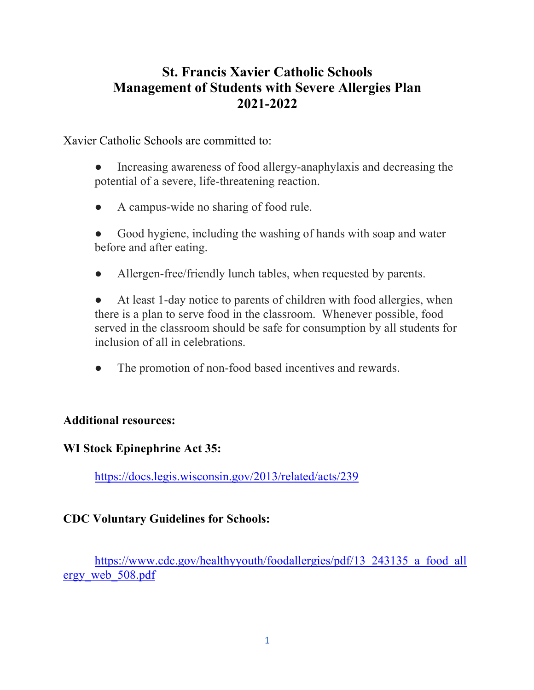# **St. Francis Xavier Catholic Schools Management of Students with Severe Allergies Plan 2021-2022**

Xavier Catholic Schools are committed to:

- Increasing awareness of food allergy-anaphylaxis and decreasing the potential of a severe, life-threatening reaction.
- A campus-wide no sharing of food rule.
- Good hygiene, including the washing of hands with soap and water before and after eating.
- Allergen-free/friendly lunch tables, when requested by parents.

At least 1-day notice to parents of children with food allergies, when there is a plan to serve food in the classroom. Whenever possible, food served in the classroom should be safe for consumption by all students for inclusion of all in celebrations.

The promotion of non-food based incentives and rewards.

#### **Additional resources:**

#### **WI Stock Epinephrine Act 35:**

https://docs.legis.wisconsin.gov/2013/related/acts/239

#### **CDC Voluntary Guidelines for Schools:**

https://www.cdc.gov/healthyyouth/foodallergies/pdf/13\_243135\_a\_food\_all ergy\_web\_508.pdf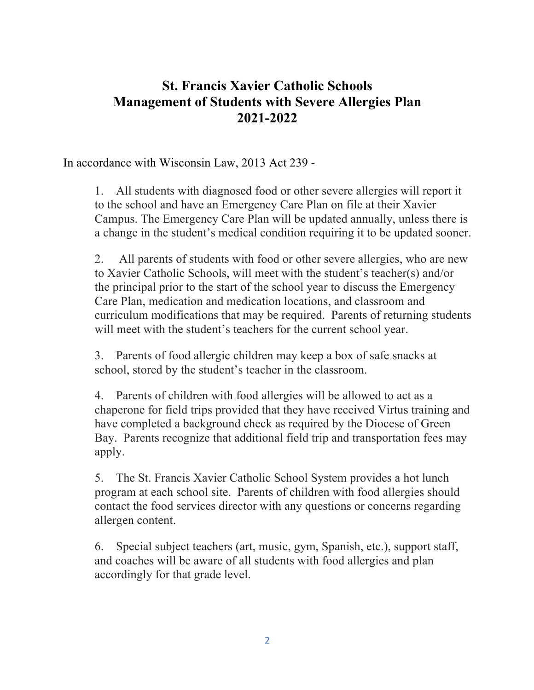## **St. Francis Xavier Catholic Schools Management of Students with Severe Allergies Plan 2021-2022**

In accordance with Wisconsin Law, 2013 Act 239 -

1. All students with diagnosed food or other severe allergies will report it to the school and have an Emergency Care Plan on file at their Xavier Campus. The Emergency Care Plan will be updated annually, unless there is a change in the student's medical condition requiring it to be updated sooner.

2. All parents of students with food or other severe allergies, who are new to Xavier Catholic Schools, will meet with the student's teacher(s) and/or the principal prior to the start of the school year to discuss the Emergency Care Plan, medication and medication locations, and classroom and curriculum modifications that may be required. Parents of returning students will meet with the student's teachers for the current school year.

3. Parents of food allergic children may keep a box of safe snacks at school, stored by the student's teacher in the classroom.

4. Parents of children with food allergies will be allowed to act as a chaperone for field trips provided that they have received Virtus training and have completed a background check as required by the Diocese of Green Bay. Parents recognize that additional field trip and transportation fees may apply.

5. The St. Francis Xavier Catholic School System provides a hot lunch program at each school site. Parents of children with food allergies should contact the food services director with any questions or concerns regarding allergen content.

6. Special subject teachers (art, music, gym, Spanish, etc.), support staff, and coaches will be aware of all students with food allergies and plan accordingly for that grade level.